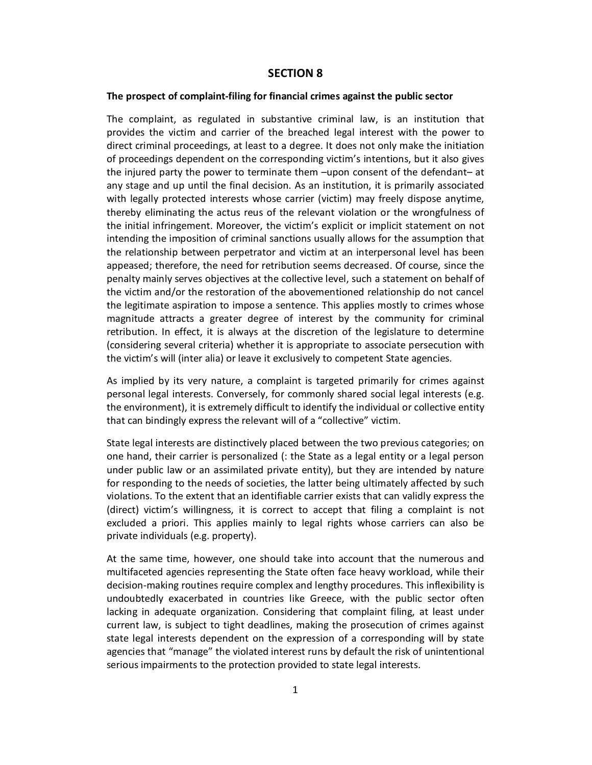## **SECTION 8**

## **The prospect of complaint-filing for financial crimes against the public sector**

The complaint, as regulated in substantive criminal law, is an institution that provides the victim and carrier of the breached legal interest with the power to direct criminal proceedings, at least to a degree. It does not only make the initiation of proceedings dependent on the corresponding victim's intentions, but it also gives the injured party the power to terminate them –upon consent of the defendant– at any stage and up until the final decision. As an institution, it is primarily associated with legally protected interests whose carrier (victim) may freely dispose anytime, thereby eliminating the actus reus of the relevant violation or the wrongfulness of the initial infringement. Moreover, the victim's explicit or implicit statement on not intending the imposition of criminal sanctions usually allows for the assumption that the relationship between perpetrator and victim at an interpersonal level has been appeased; therefore, the need for retribution seems decreased. Of course, since the penalty mainly serves objectives at the collective level, such a statement on behalf of the victim and/or the restoration of the abovementioned relationship do not cancel the legitimate aspiration to impose a sentence. This applies mostly to crimes whose magnitude attracts a greater degree of interest by the community for criminal retribution. In effect, it is always at the discretion of the legislature to determine (considering several criteria) whether it is appropriate to associate persecution with the victim's will (inter alia) or leave it exclusively to competent State agencies.

As implied by its very nature, a complaint is targeted primarily for crimes against personal legal interests. Conversely, for commonly shared social legal interests (e.g. the environment), it is extremely difficult to identify the individual or collective entity that can bindingly express the relevant will of a "collective" victim.

State legal interests are distinctively placed between the two previous categories; on one hand, their carrier is personalized (: the State as a legal entity or a legal person under public law or an assimilated private entity), but they are intended by nature for responding to the needs of societies, the latter being ultimately affected by such violations. To the extent that an identifiable carrier exists that can validly express the (direct) victim's willingness, it is correct to accept that filing a complaint is not excluded a priori. This applies mainly to legal rights whose carriers can also be private individuals (e.g. property).

At the same time, however, one should take into account that the numerous and multifaceted agencies representing the State often face heavy workload, while their decision-making routines require complex and lengthy procedures. This inflexibility is undoubtedly exacerbated in countries like Greece, with the public sector often lacking in adequate organization. Considering that complaint filing, at least under current law, is subject to tight deadlines, making the prosecution of crimes against state legal interests dependent on the expression of a corresponding will by state agencies that "manage" the violated interest runs by default the risk of unintentional serious impairments to the protection provided to state legal interests.